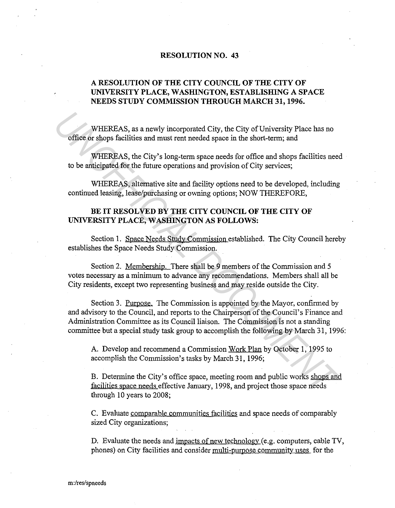## **RESOLUTION NO. 43**

## **A RESOLUTION OF THE CITY COUNCIL OF THE CITY OF UNIVERSITY PLACE, WASHINGTON, ESTABLISHING A SPACE NEEDS STUDY COMMISSION THROUGH MARCH 31, 1996.**

WHEREAS, as a newly incorporated City, the City of University Place has no office or shops facilities and must rent needed space in the short-term; and

WHEREAS, the City's long-term space needs for office and shops facilities need to be anticipated for the future operations and provision of City services;

WHEREAS, alternative site and facility options need to be developed, including continued leasing, lease/purchasing or owning options; NOW THEREFORE,

## **BE IT RESOLVED BY THE CITY COUNCIL OF THE CITY OF UNIVERSITY PLACE, WASHINGTON AS FOLLOWS:**

Section 1. Space Needs Study Commission established. The City Council hereby establishes the Space Needs Study Commission.

Section 2. Membership. There shall be 9 members of the Commission and 5 votes necessary as a minimum to advance any recommendations. Members shall all be City residents, except two representing business and may reside outside the City.

Section 3. Purpose. The Commission is appointed by the Mayor, confirmed by and advisory to the Council, and reports to the Chairperson of the Council's Finance and Administration Committee as its Council liaison. The Commission is not a standing committee but a special study task group to accomplish the following by March 31, 1996: WHEREAS, as a newly incorporated City, the City of University Place has no<br>
office or shops facilities and must rent needed space in the short-term; and<br>
WHEREAS, the City's long-term space needs for office and shops facil

A. Develop and recommend a Commission Work Plan by October 1, 1995 to accomplish the Commission's tasks by March 31, 1996;

B. Determine the City's office space, meeting room and public works shops and facilities space needs effective January, 1998, and project those space needs through 10 years to 2008;

C. Evaluate comparable communities facilities and space needs of comparably sized City organizations;

D. Evaluate the needs and impacts of new technology (e.g. computers, cable TV, phones) on City facilities and consider multi-purpose community uses for the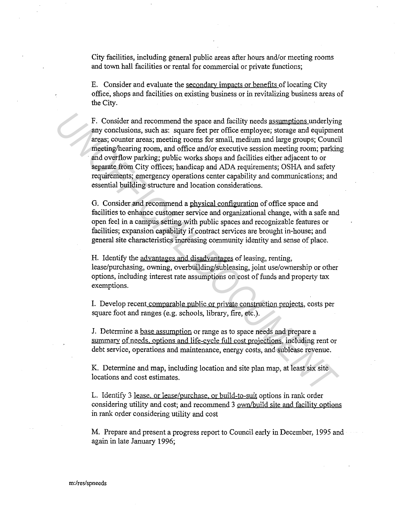City facilities, including general public areas after hours and/or meeting rooms and town hall facilities or rental for commercial or private functions;

E. Consider and evaluate the secondary impacts or benefits of locating City office, shops and facilities on existing business or in revitalizing business areas of the City.

F. Consider and recommend the space and facility needs assumptions underlying any conclusions, such as: square feet per office employee; storage and equipment areas; counter areas; meeting rooms for small, medium and large groups; Council meeting/hearing room, and office and/or executive session meeting room; parking and overflow parking; public works shops and facilities either adjacent to or separate from City offices; handicap and ADA requirements; OSHA and safety requirements; emergency operations center capability and communications; and essential building structure and location considerations. F. Consider and recommend the space and facility needs <u>assumptions</u> underlying<br>my conclusions, such as: square feet per office employee; storage and equipment<br>meeting/hearing races, meeting rooms for mail, medium and larg

G. Consider and recommend a physical configuration of office space and facilities to enhance customer service and organizational change, with a safe and open feel in a campus setting with public spaces and recognizable features or facilities; expansion capability if contract services are brought in-house; and general site characteristics increasing community identity and sense of place.

H. Identify the advantages and disadvantages of leasing, renting, lease/purchasing, owning, overbuilding/subleasing, joint use/ownership or other options, including interest rate assumptions on cost of funds and property tax exemptions.

I. Develop recent comparable public or private construction projects, costs per square foot and ranges (e.g. schools, library, fire, etc.).

J. Determine a base assumption or range as to space needs and prepare a summarv of needs. options and life-cvcle full cost projections, including rent or debt service, operations and maintenance, energy costs, and sublease revenue.

K. Determine and map, including location and site plan map, at least six site locations and cost estimates.

L. Identify 3 lease. or lease/purchase. or build-to-suit options in rank order considering utility and cost; and recommend 3 own/build site and facility options in rank order considering utility and cost

M. Prepare and present a progress report to Council early in December, 1995 and again in late January 1996;